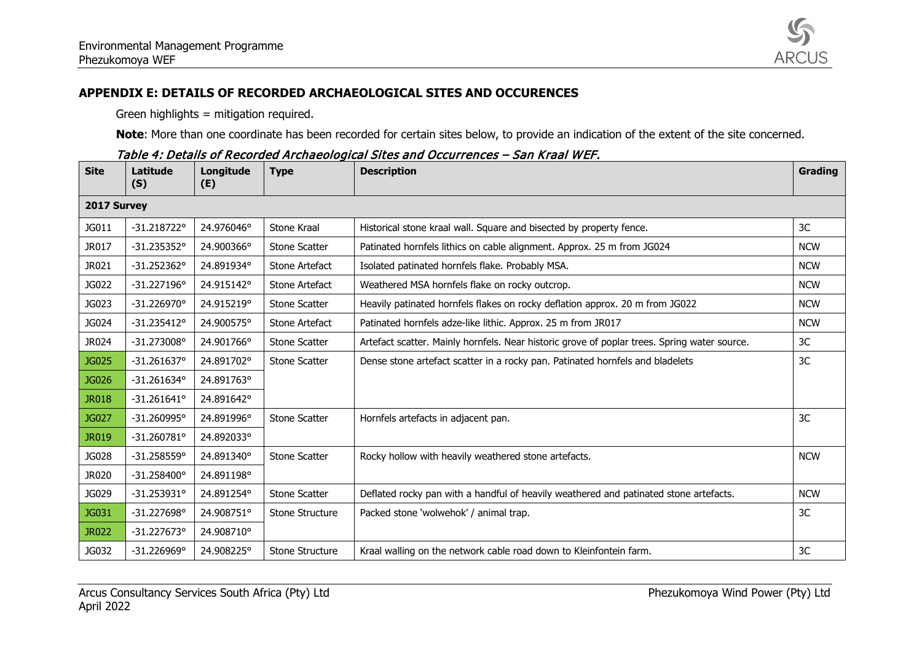

## **APPENDIX E: DETAILS OF RECORDED ARCHAEOLOGICAL SITES AND OCCURENCES**

Green highlights = mitigation required.

**Note**: More than one coordinate has been recorded for certain sites below, to provide an indication of the extent of the site concerned.

| <b>Site</b>  | Latitude<br>(S)      | Longitude<br>(E) | <b>Type</b>          | <b>Description</b>                                                                           | Grading    |  |
|--------------|----------------------|------------------|----------------------|----------------------------------------------------------------------------------------------|------------|--|
|              | 2017 Survey          |                  |                      |                                                                                              |            |  |
| JG011        | $-31.218722$ °       | 24.976046°       | Stone Kraal          | Historical stone kraal wall. Square and bisected by property fence.                          | 3C         |  |
| JR017        | $-31.235352°$        | 24.900366°       | <b>Stone Scatter</b> | Patinated hornfels lithics on cable alignment. Approx. 25 m from JG024                       | <b>NCW</b> |  |
| JR021        | $-31.252362°$        | 24.891934°       | Stone Artefact       | Isolated patinated hornfels flake. Probably MSA.                                             | <b>NCW</b> |  |
| JG022        | $-31.227196°$        | 24.915142°       | Stone Artefact       | Weathered MSA hornfels flake on rocky outcrop.                                               | <b>NCW</b> |  |
| JG023        | $-31.226970°$        | 24.915219°       | <b>Stone Scatter</b> | Heavily patinated hornfels flakes on rocky deflation approx. 20 m from JG022                 | <b>NCW</b> |  |
| JG024        | $-31.235412^{\circ}$ | 24.900575°       | Stone Artefact       | Patinated hornfels adze-like lithic. Approx. 25 m from JR017                                 | <b>NCW</b> |  |
| JR024        | $-31.273008$ °       | 24.901766°       | Stone Scatter        | Artefact scatter. Mainly hornfels. Near historic grove of poplar trees. Spring water source. | 3C         |  |
| JG025        | $-31.261637°$        | 24.891702°       | <b>Stone Scatter</b> | Dense stone artefact scatter in a rocky pan. Patinated hornfels and bladelets                | 3C         |  |
| JG026        | $-31.261634°$        | 24.891763°       |                      |                                                                                              |            |  |
| <b>JR018</b> | $-31.261641$ °       | 24.891642°       |                      |                                                                                              |            |  |
| JG027        | $-31.260995°$        | 24.891996°       | <b>Stone Scatter</b> | Hornfels artefacts in adjacent pan.                                                          | 3C         |  |
| <b>JR019</b> | $-31.260781^{\circ}$ | 24.892033°       |                      |                                                                                              |            |  |
| JG028        | $-31.258559°$        | 24.891340°       | Stone Scatter        | Rocky hollow with heavily weathered stone artefacts.                                         | <b>NCW</b> |  |
| JR020        | $-31.258400^{\circ}$ | 24.891198°       |                      |                                                                                              |            |  |
| JG029        | $-31.253931^{\circ}$ | 24.891254°       | <b>Stone Scatter</b> | Deflated rocky pan with a handful of heavily weathered and patinated stone artefacts.        | <b>NCW</b> |  |
| JG031        | $-31.227698°$        | 24.908751°       | Stone Structure      | Packed stone 'wolwehok' / animal trap.                                                       | 3C         |  |
| <b>JR022</b> | $-31.227673$ °       | 24.908710°       |                      |                                                                                              |            |  |
| JG032        | $-31.226969°$        | 24.908225°       | Stone Structure      | Kraal walling on the network cable road down to Kleinfontein farm.                           | 3C         |  |

Table 4: Details of Recorded Archaeological Sites and Occurrences – San Kraal WEF.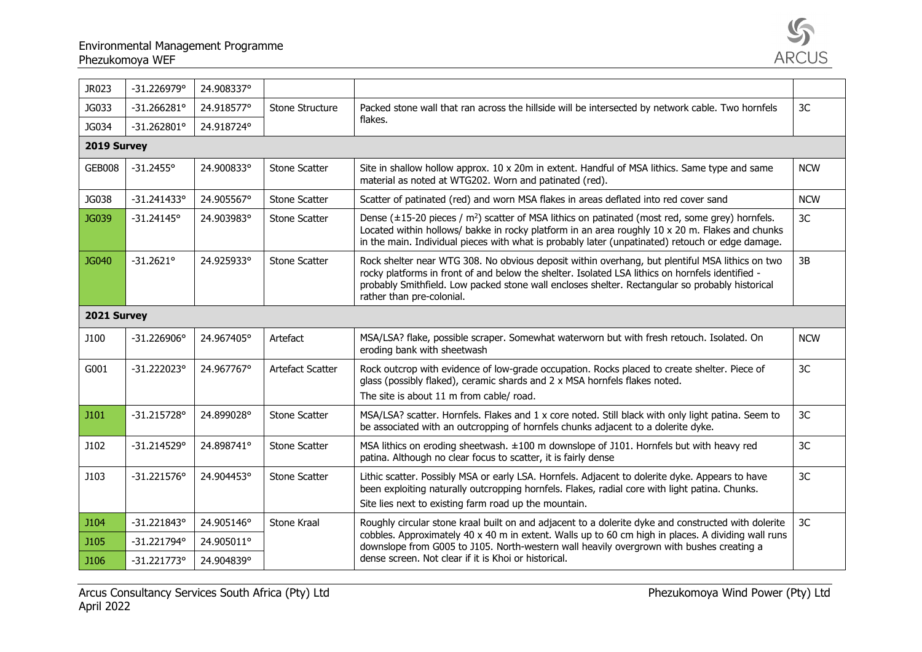

| JR023         | $-31.226979°$        | 24.908337° |                      |                                                                                                                                                                                                                                                                                                                                     |            |  |
|---------------|----------------------|------------|----------------------|-------------------------------------------------------------------------------------------------------------------------------------------------------------------------------------------------------------------------------------------------------------------------------------------------------------------------------------|------------|--|
| JG033         | $-31.266281^{\circ}$ | 24.918577° | Stone Structure      | Packed stone wall that ran across the hillside will be intersected by network cable. Two hornfels                                                                                                                                                                                                                                   | 3C         |  |
| JG034         | $-31.262801^{\circ}$ | 24.918724° |                      | flakes.                                                                                                                                                                                                                                                                                                                             |            |  |
| 2019 Survey   |                      |            |                      |                                                                                                                                                                                                                                                                                                                                     |            |  |
| <b>GEB008</b> | $-31.2455^{\circ}$   | 24.900833° | <b>Stone Scatter</b> | Site in shallow hollow approx. $10 \times 20m$ in extent. Handful of MSA lithics. Same type and same<br>material as noted at WTG202. Worn and patinated (red).                                                                                                                                                                      | <b>NCW</b> |  |
| JG038         | $-31.241433^{\circ}$ | 24.905567° | Stone Scatter        | Scatter of patinated (red) and worn MSA flakes in areas deflated into red cover sand                                                                                                                                                                                                                                                | <b>NCW</b> |  |
| JG039         | $-31.24145°$         | 24.903983° | Stone Scatter        | Dense ( $\pm$ 15-20 pieces / m <sup>2</sup> ) scatter of MSA lithics on patinated (most red, some grey) hornfels.<br>Located within hollows/ bakke in rocky platform in an area roughly 10 x 20 m. Flakes and chunks<br>in the main. Individual pieces with what is probably later (unpatinated) retouch or edge damage.            | 3C         |  |
| JG040         | $-31.2621$ °         | 24.925933° | <b>Stone Scatter</b> | Rock shelter near WTG 308. No obvious deposit within overhang, but plentiful MSA lithics on two<br>rocky platforms in front of and below the shelter. Isolated LSA lithics on hornfels identified -<br>probably Smithfield. Low packed stone wall encloses shelter. Rectangular so probably historical<br>rather than pre-colonial. | 3B         |  |
| 2021 Survey   |                      |            |                      |                                                                                                                                                                                                                                                                                                                                     |            |  |
| J100          | $-31.226906°$        | 24.967405° | Artefact             | MSA/LSA? flake, possible scraper. Somewhat waterworn but with fresh retouch. Isolated. On<br>eroding bank with sheetwash                                                                                                                                                                                                            | <b>NCW</b> |  |
| G001          | $-31.222023$ °       | 24.967767° | Artefact Scatter     | Rock outcrop with evidence of low-grade occupation. Rocks placed to create shelter. Piece of<br>glass (possibly flaked), ceramic shards and 2 x MSA hornfels flakes noted.<br>The site is about 11 m from cable/ road.                                                                                                              | 3C         |  |
| <b>J101</b>   | $-31.215728°$        | 24.899028° | <b>Stone Scatter</b> | MSA/LSA? scatter. Hornfels. Flakes and 1 x core noted. Still black with only light patina. Seem to<br>be associated with an outcropping of hornfels chunks adjacent to a dolerite dyke.                                                                                                                                             | 3C         |  |
| J102          | $-31.214529°$        | 24.898741° | <b>Stone Scatter</b> | MSA lithics on eroding sheetwash. ±100 m downslope of J101. Hornfels but with heavy red<br>patina. Although no clear focus to scatter, it is fairly dense                                                                                                                                                                           | 3C         |  |
| J103          | $-31.221576°$        | 24.904453° | Stone Scatter        | Lithic scatter. Possibly MSA or early LSA. Hornfels. Adjacent to dolerite dyke. Appears to have<br>been exploiting naturally outcropping hornfels. Flakes, radial core with light patina. Chunks.<br>Site lies next to existing farm road up the mountain.                                                                          | 3C         |  |
| J104          | $-31.221843°$        | 24.905146° | <b>Stone Kraal</b>   | Roughly circular stone kraal built on and adjacent to a dolerite dyke and constructed with dolerite                                                                                                                                                                                                                                 | 3C         |  |
| <b>J105</b>   | $-31.221794°$        | 24.905011° |                      | cobbles. Approximately 40 x 40 m in extent. Walls up to 60 cm high in places. A dividing wall runs<br>downslope from G005 to J105. North-western wall heavily overgrown with bushes creating a                                                                                                                                      |            |  |
| <b>J106</b>   | $-31.221773°$        | 24.904839° |                      | dense screen. Not clear if it is Khoi or historical.                                                                                                                                                                                                                                                                                |            |  |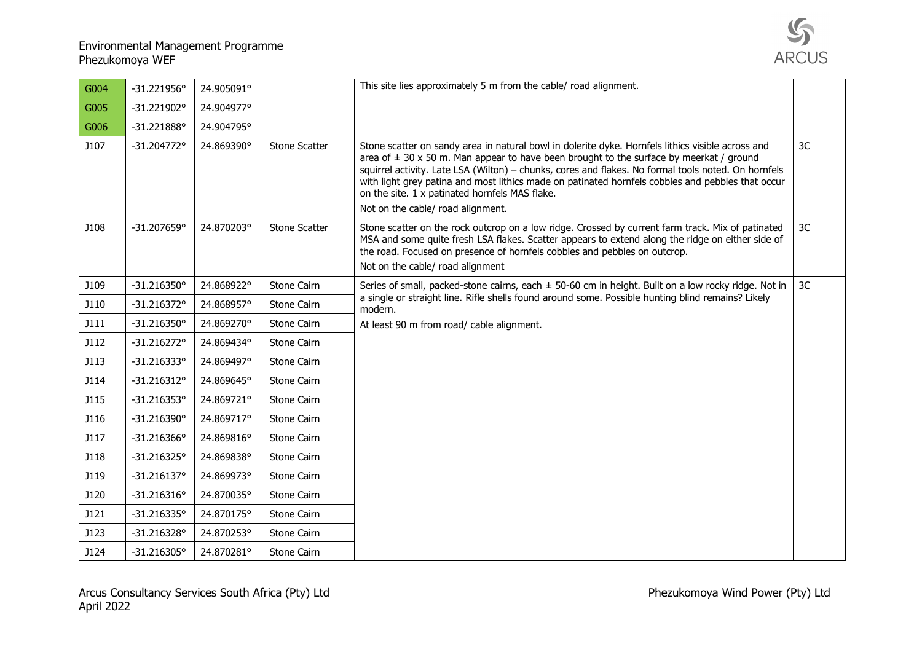

| G004 | $-31.221956°$        | 24.905091° |                      | This site lies approximately 5 m from the cable/ road alignment.                                                                                                                                                                                                                                                                                                                                                                                                                                    |    |
|------|----------------------|------------|----------------------|-----------------------------------------------------------------------------------------------------------------------------------------------------------------------------------------------------------------------------------------------------------------------------------------------------------------------------------------------------------------------------------------------------------------------------------------------------------------------------------------------------|----|
| G005 | $-31.221902°$        | 24.904977° |                      |                                                                                                                                                                                                                                                                                                                                                                                                                                                                                                     |    |
| G006 | $-31.221888°$        | 24.904795° |                      |                                                                                                                                                                                                                                                                                                                                                                                                                                                                                                     |    |
| J107 | $-31.204772$ °       | 24.869390° | Stone Scatter        | Stone scatter on sandy area in natural bowl in dolerite dyke. Hornfels lithics visible across and<br>area of $\pm$ 30 x 50 m. Man appear to have been brought to the surface by meerkat / ground<br>squirrel activity. Late LSA (Wilton) - chunks, cores and flakes. No formal tools noted. On hornfels<br>with light grey patina and most lithics made on patinated hornfels cobbles and pebbles that occur<br>on the site. 1 x patinated hornfels MAS flake.<br>Not on the cable/ road alignment. | 3C |
| J108 | $-31.207659°$        | 24.870203° | <b>Stone Scatter</b> | Stone scatter on the rock outcrop on a low ridge. Crossed by current farm track. Mix of patinated<br>MSA and some quite fresh LSA flakes. Scatter appears to extend along the ridge on either side of<br>the road. Focused on presence of hornfels cobbles and pebbles on outcrop.<br>Not on the cable/ road alignment                                                                                                                                                                              | 3C |
| J109 | $-31.216350°$        | 24.868922° | Stone Cairn          | Series of small, packed-stone cairns, each $\pm$ 50-60 cm in height. Built on a low rocky ridge. Not in                                                                                                                                                                                                                                                                                                                                                                                             | 3C |
| J110 | $-31.216372$ °       | 24.868957° | Stone Cairn          | a single or straight line. Rifle shells found around some. Possible hunting blind remains? Likely<br>modern.                                                                                                                                                                                                                                                                                                                                                                                        |    |
| J111 | $-31.216350°$        | 24.869270° | Stone Cairn          | At least 90 m from road/ cable alignment.                                                                                                                                                                                                                                                                                                                                                                                                                                                           |    |
| J112 | $-31.216272$ °       | 24.869434° | Stone Cairn          |                                                                                                                                                                                                                                                                                                                                                                                                                                                                                                     |    |
| J113 | $-31.216333^{\circ}$ | 24.869497° | Stone Cairn          |                                                                                                                                                                                                                                                                                                                                                                                                                                                                                                     |    |
| J114 | $-31.216312^{\circ}$ | 24.869645° | Stone Cairn          |                                                                                                                                                                                                                                                                                                                                                                                                                                                                                                     |    |
| J115 | $-31.216353^{\circ}$ | 24.869721° | Stone Cairn          |                                                                                                                                                                                                                                                                                                                                                                                                                                                                                                     |    |
| J116 | $-31.216390^{\circ}$ | 24.869717° | Stone Cairn          |                                                                                                                                                                                                                                                                                                                                                                                                                                                                                                     |    |
| J117 | $-31.216366$ °       | 24.869816° | Stone Cairn          |                                                                                                                                                                                                                                                                                                                                                                                                                                                                                                     |    |
| J118 | $-31.216325°$        | 24.869838° | Stone Cairn          |                                                                                                                                                                                                                                                                                                                                                                                                                                                                                                     |    |
| J119 | $-31.216137°$        | 24.869973° | Stone Cairn          |                                                                                                                                                                                                                                                                                                                                                                                                                                                                                                     |    |
| J120 | $-31.216316°$        | 24.870035° | Stone Cairn          |                                                                                                                                                                                                                                                                                                                                                                                                                                                                                                     |    |
| J121 | $-31.216335°$        | 24.870175° | Stone Cairn          |                                                                                                                                                                                                                                                                                                                                                                                                                                                                                                     |    |
| J123 | $-31.216328°$        | 24.870253° | Stone Cairn          |                                                                                                                                                                                                                                                                                                                                                                                                                                                                                                     |    |
| J124 | $-31.216305°$        | 24.870281° | Stone Cairn          |                                                                                                                                                                                                                                                                                                                                                                                                                                                                                                     |    |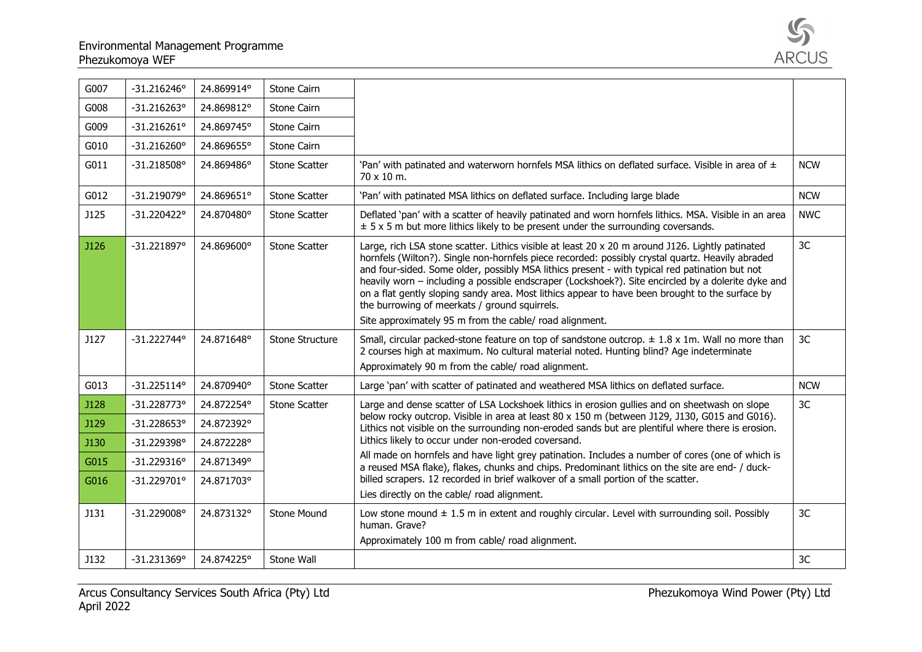

| G007        | $-31.216246°$        | 24.869914° | Stone Cairn            |                                                                                                                                                                                                                                                                                                                                                                                                                                                                                                                                                                                                                             |            |
|-------------|----------------------|------------|------------------------|-----------------------------------------------------------------------------------------------------------------------------------------------------------------------------------------------------------------------------------------------------------------------------------------------------------------------------------------------------------------------------------------------------------------------------------------------------------------------------------------------------------------------------------------------------------------------------------------------------------------------------|------------|
| G008        | $-31.216263$ °       | 24.869812° | Stone Cairn            |                                                                                                                                                                                                                                                                                                                                                                                                                                                                                                                                                                                                                             |            |
| G009        | $-31.216261°$        | 24.869745° | Stone Cairn            |                                                                                                                                                                                                                                                                                                                                                                                                                                                                                                                                                                                                                             |            |
| G010        | $-31.216260°$        | 24.869655° | <b>Stone Cairn</b>     |                                                                                                                                                                                                                                                                                                                                                                                                                                                                                                                                                                                                                             |            |
| G011        | $-31.218508°$        | 24.869486° | <b>Stone Scatter</b>   | 'Pan' with patinated and waterworn hornfels MSA lithics on deflated surface. Visible in area of $\pm$<br>70 x 10 m.                                                                                                                                                                                                                                                                                                                                                                                                                                                                                                         | <b>NCW</b> |
| G012        | $-31.219079°$        | 24.869651° | Stone Scatter          | 'Pan' with patinated MSA lithics on deflated surface. Including large blade                                                                                                                                                                                                                                                                                                                                                                                                                                                                                                                                                 | <b>NCW</b> |
| <b>J125</b> | $-31.220422$ °       | 24.870480° | <b>Stone Scatter</b>   | Deflated 'pan' with a scatter of heavily patinated and worn hornfels lithics. MSA. Visible in an area<br>$\pm$ 5 x 5 m but more lithics likely to be present under the surrounding coversands.                                                                                                                                                                                                                                                                                                                                                                                                                              | <b>NWC</b> |
| <b>J126</b> | $-31.221897°$        | 24.869600° | <b>Stone Scatter</b>   | Large, rich LSA stone scatter. Lithics visible at least 20 x 20 m around J126. Lightly patinated<br>hornfels (Wilton?). Single non-hornfels piece recorded: possibly crystal quartz. Heavily abraded<br>and four-sided. Some older, possibly MSA lithics present - with typical red patination but not<br>heavily worn - including a possible endscraper (Lockshoek?). Site encircled by a dolerite dyke and<br>on a flat gently sloping sandy area. Most lithics appear to have been brought to the surface by<br>the burrowing of meerkats / ground squirrels.<br>Site approximately 95 m from the cable/ road alignment. | 3C         |
| <b>J127</b> | $-31.222744°$        | 24.871648° | <b>Stone Structure</b> | Small, circular packed-stone feature on top of sandstone outcrop. $\pm$ 1.8 x 1m. Wall no more than<br>2 courses high at maximum. No cultural material noted. Hunting blind? Age indeterminate<br>Approximately 90 m from the cable/ road alignment.                                                                                                                                                                                                                                                                                                                                                                        | 3C         |
| G013        | $-31.225114^{\circ}$ | 24.870940° | <b>Stone Scatter</b>   | Large 'pan' with scatter of patinated and weathered MSA lithics on deflated surface.                                                                                                                                                                                                                                                                                                                                                                                                                                                                                                                                        | <b>NCW</b> |
| <b>J128</b> | $-31.228773$ °       | 24.872254° | <b>Stone Scatter</b>   | Large and dense scatter of LSA Lockshoek lithics in erosion gullies and on sheetwash on slope                                                                                                                                                                                                                                                                                                                                                                                                                                                                                                                               | 3C         |
| J129        | $-31.228653$ °       | 24.872392° |                        | below rocky outcrop. Visible in area at least 80 x 150 m (between J129, J130, G015 and G016).<br>Lithics not visible on the surrounding non-eroded sands but are plentiful where there is erosion.                                                                                                                                                                                                                                                                                                                                                                                                                          |            |
| <b>J130</b> | $-31.229398°$        | 24.872228° |                        | Lithics likely to occur under non-eroded coversand.                                                                                                                                                                                                                                                                                                                                                                                                                                                                                                                                                                         |            |
| G015        | $-31.229316°$        | 24.871349° |                        | All made on hornfels and have light grey patination. Includes a number of cores (one of which is<br>a reused MSA flake), flakes, chunks and chips. Predominant lithics on the site are end- / duck-                                                                                                                                                                                                                                                                                                                                                                                                                         |            |
| G016        | $-31.229701°$        | 24.871703° |                        | billed scrapers. 12 recorded in brief walkover of a small portion of the scatter.<br>Lies directly on the cable/ road alignment.                                                                                                                                                                                                                                                                                                                                                                                                                                                                                            |            |
| J131        | $-31.229008°$        | 24.873132° | <b>Stone Mound</b>     | Low stone mound $\pm$ 1.5 m in extent and roughly circular. Level with surrounding soil. Possibly<br>human. Grave?<br>Approximately 100 m from cable/ road alignment.                                                                                                                                                                                                                                                                                                                                                                                                                                                       | 3C         |
| J132        | $-31.231369°$        | 24.874225° | Stone Wall             |                                                                                                                                                                                                                                                                                                                                                                                                                                                                                                                                                                                                                             | 3C         |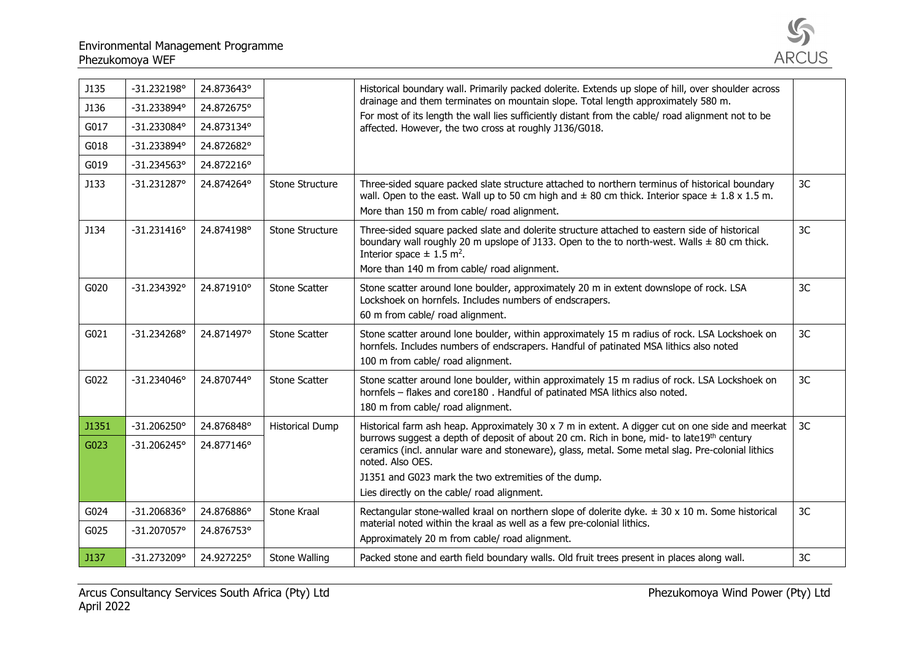

| <b>J135</b> | $-31.232198°$        | 24.873643° |                        | Historical boundary wall. Primarily packed dolerite. Extends up slope of hill, over shoulder across                                                                                                                                           |    |
|-------------|----------------------|------------|------------------------|-----------------------------------------------------------------------------------------------------------------------------------------------------------------------------------------------------------------------------------------------|----|
| J136        | -31.233894°          | 24.872675° |                        | drainage and them terminates on mountain slope. Total length approximately 580 m.<br>For most of its length the wall lies sufficiently distant from the cable/ road alignment not to be                                                       |    |
| G017        | -31.233084°          | 24.873134° |                        | affected. However, the two cross at roughly J136/G018.                                                                                                                                                                                        |    |
| G018        | -31.233894°          | 24.872682° |                        |                                                                                                                                                                                                                                               |    |
| G019        | $-31.234563$ °       | 24.872216° |                        |                                                                                                                                                                                                                                               |    |
| J133        | $-31.231287°$        | 24.874264° | <b>Stone Structure</b> | Three-sided square packed slate structure attached to northern terminus of historical boundary<br>wall. Open to the east. Wall up to 50 cm high and $\pm$ 80 cm thick. Interior space $\pm$ 1.8 x 1.5 m.                                      | 3C |
|             |                      |            |                        | More than 150 m from cable/ road alignment.                                                                                                                                                                                                   |    |
| J134        | $-31.231416°$        | 24.874198° | Stone Structure        | Three-sided square packed slate and dolerite structure attached to eastern side of historical<br>boundary wall roughly 20 m upslope of J133. Open to the to north-west. Walls $\pm$ 80 cm thick.<br>Interior space $\pm$ 1.5 m <sup>2</sup> . | 3C |
|             |                      |            |                        | More than 140 m from cable/ road alignment.                                                                                                                                                                                                   |    |
| G020        | $-31.234392°$        | 24.871910° | <b>Stone Scatter</b>   | Stone scatter around lone boulder, approximately 20 m in extent downslope of rock. LSA<br>Lockshoek on hornfels. Includes numbers of endscrapers.                                                                                             | 3C |
|             |                      |            |                        | 60 m from cable/ road alignment.                                                                                                                                                                                                              |    |
| G021        | $-31.234268°$        | 24.871497° | <b>Stone Scatter</b>   | Stone scatter around lone boulder, within approximately 15 m radius of rock. LSA Lockshoek on<br>hornfels. Includes numbers of endscrapers. Handful of patinated MSA lithics also noted                                                       | 3C |
|             |                      |            |                        | 100 m from cable/ road alignment.                                                                                                                                                                                                             |    |
| G022        | $-31.234046$ °       | 24.870744° | <b>Stone Scatter</b>   | Stone scatter around lone boulder, within approximately 15 m radius of rock. LSA Lockshoek on<br>hornfels - flakes and core180. Handful of patinated MSA lithics also noted.                                                                  | 3C |
|             |                      |            |                        | 180 m from cable/ road alignment.                                                                                                                                                                                                             |    |
| J1351       | $-31.206250^{\circ}$ | 24.876848° | <b>Historical Dump</b> | Historical farm ash heap. Approximately 30 x 7 m in extent. A digger cut on one side and meerkat                                                                                                                                              | 3C |
| G023        | $-31.206245^{\circ}$ | 24.877146° |                        | burrows suggest a depth of deposit of about 20 cm. Rich in bone, mid- to late19th century<br>ceramics (incl. annular ware and stoneware), glass, metal. Some metal slag. Pre-colonial lithics<br>noted. Also OES.                             |    |
|             |                      |            |                        | J1351 and G023 mark the two extremities of the dump.                                                                                                                                                                                          |    |
|             |                      |            |                        | Lies directly on the cable/ road alignment.                                                                                                                                                                                                   |    |
| G024        | -31.206836°          | 24.876886° | Stone Kraal            | Rectangular stone-walled kraal on northern slope of dolerite dyke. $\pm$ 30 x 10 m. Some historical                                                                                                                                           | 3C |
| G025        | $-31.207057$ °       | 24.876753° |                        | material noted within the kraal as well as a few pre-colonial lithics.<br>Approximately 20 m from cable/ road alignment.                                                                                                                      |    |
| <b>J137</b> | -31.273209°          | 24.927225° | Stone Walling          | Packed stone and earth field boundary walls. Old fruit trees present in places along wall.                                                                                                                                                    | 3C |